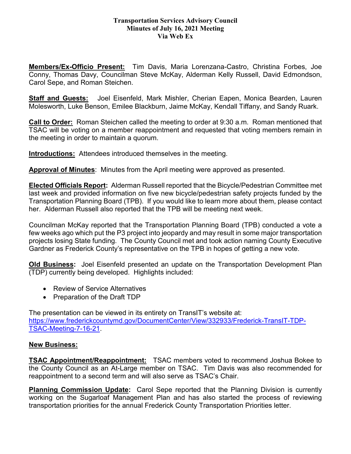## **Transportation Services Advisory Council Minutes of July 16, 2021 Meeting Via Web Ex**

**Members/Ex-Officio Present:** Tim Davis, Maria Lorenzana-Castro, Christina Forbes, Joe Conny, Thomas Davy, Councilman Steve McKay, Alderman Kelly Russell, David Edmondson, Carol Sepe, and Roman Steichen.

**Staff and Guests:** Joel Eisenfeld, Mark Mishler, Cherian Eapen, Monica Bearden, Lauren Molesworth, Luke Benson, Emilee Blackburn, Jaime McKay, Kendall Tiffany, and Sandy Ruark.

**Call to Order:** Roman Steichen called the meeting to order at 9:30 a.m. Roman mentioned that TSAC will be voting on a member reappointment and requested that voting members remain in the meeting in order to maintain a quorum.

**Introductions:** Attendees introduced themselves in the meeting.

**Approval of Minutes**: Minutes from the April meeting were approved as presented.

**Elected Officials Report:** Alderman Russell reported that the Bicycle/Pedestrian Committee met last week and provided information on five new bicycle/pedestrian safety projects funded by the Transportation Planning Board (TPB). If you would like to learn more about them, please contact her. Alderman Russell also reported that the TPB will be meeting next week.

Councilman McKay reported that the Transportation Planning Board (TPB) conducted a vote a few weeks ago which put the P3 project into jeopardy and may result in some major transportation projects losing State funding. The County Council met and took action naming County Executive Gardner as Frederick County's representative on the TPB in hopes of getting a new vote.

**Old Business:** Joel Eisenfeld presented an update on the Transportation Development Plan (TDP) currently being developed. Highlights included:

- Review of Service Alternatives
- Preparation of the Draft TDP

The presentation can be viewed in its entirety on TransIT's website at: [https://www.frederickcountymd.gov/DocumentCenter/View/332933/Frederick-TransIT-TDP-](https://www.frederickcountymd.gov/DocumentCenter/View/332933/Frederick-TransIT-TDP-TSAC-Meeting-7-16-21)[TSAC-Meeting-7-16-21.](https://www.frederickcountymd.gov/DocumentCenter/View/332933/Frederick-TransIT-TDP-TSAC-Meeting-7-16-21)

## **New Business:**

**TSAC Appointment/Reappointment:** TSAC members voted to recommend Joshua Bokee to the County Council as an At-Large member on TSAC. Tim Davis was also recommended for reappointment to a second term and will also serve as TSAC's Chair.

**Planning Commission Update:** Carol Sepe reported that the Planning Division is currently working on the Sugarloaf Management Plan and has also started the process of reviewing transportation priorities for the annual Frederick County Transportation Priorities letter.